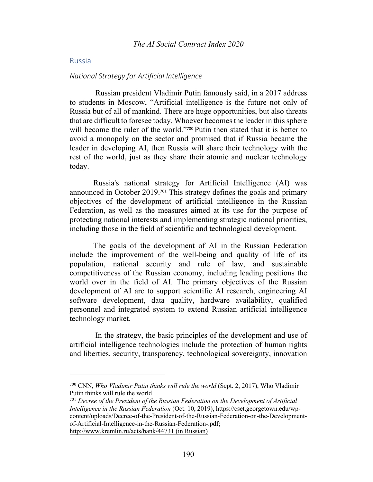## Russia

#### *National Strategy for Artificial Intelligence*

Russian president Vladimir Putin famously said, in a 2017 address to students in Moscow, "Artificial intelligence is the future not only of Russia but of all of mankind. There are huge opportunities, but also threats that are difficult to foresee today. Whoever becomes the leader in this sphere will become the ruler of the world."<sup>700</sup> Putin then stated that it is better to avoid a monopoly on the sector and promised that if Russia became the leader in developing AI, then Russia will share their technology with the rest of the world, just as they share their atomic and nuclear technology today.

Russia's national strategy for Artificial Intelligence (AI) was announced in October 2019.<sup>701</sup> This strategy defines the goals and primary objectives of the development of artificial intelligence in the Russian Federation, as well as the measures aimed at its use for the purpose of protecting national interests and implementing strategic national priorities, including those in the field of scientific and technological development.

The goals of the development of AI in the Russian Federation include the improvement of the well-being and quality of life of its population, national security and rule of law, and sustainable competitiveness of the Russian economy, including leading positions the world over in the field of AI. The primary objectives of the Russian development of AI are to support scientific AI research, engineering AI software development, data quality, hardware availability, qualified personnel and integrated system to extend Russian artificial intelligence technology market.

In the strategy, the basic principles of the development and use of artificial intelligence technologies include the protection of human rights and liberties, security, transparency, technological sovereignty, innovation

<sup>700</sup> CNN, *Who Vladimir Putin thinks will rule the world* (Sept. 2, 2017), Who Vladimir Putin thinks will rule the world

<sup>701</sup> *Decree of the President of the Russian Federation on the Development of Artificial Intelligence in the Russian Federation* (Oct. 10, 2019), https://cset.georgetown.edu/wpcontent/uploads/Decree-of-the-President-of-the-Russian-Federation-on-the-Developmentof-Artificial-Intelligence-in-the-Russian-Federation-.pdf; http://www.kremlin.ru/acts/bank/44731 (in Russian)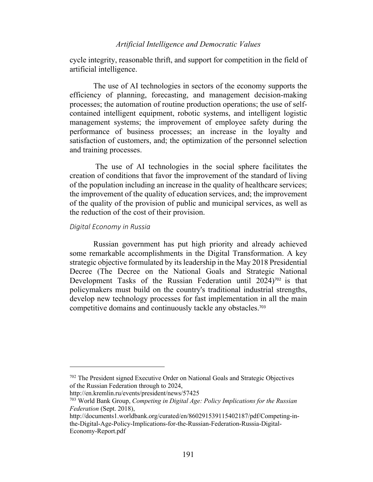cycle integrity, reasonable thrift, and support for competition in the field of artificial intelligence.

The use of AI technologies in sectors of the economy supports the efficiency of planning, forecasting, and management decision-making processes; the automation of routine production operations; the use of selfcontained intelligent equipment, robotic systems, and intelligent logistic management systems; the improvement of employee safety during the performance of business processes; an increase in the loyalty and satisfaction of customers, and; the optimization of the personnel selection and training processes.

The use of AI technologies in the social sphere facilitates the creation of conditions that favor the improvement of the standard of living of the population including an increase in the quality of healthcare services; the improvement of the quality of education services, and; the improvement of the quality of the provision of public and municipal services, as well as the reduction of the cost of their provision.

### *Digital Economy in Russia*

Russian government has put high priority and already achieved some remarkable accomplishments in the Digital Transformation. A key strategic objective formulated by its leadership in the May 2018 Presidential Decree (The Decree on the National Goals and Strategic National Development Tasks of the Russian Federation until 2024)<sup>702</sup> is that policymakers must build on the country's traditional industrial strengths, develop new technology processes for fast implementation in all the main competitive domains and continuously tackle any obstacles. 703

<sup>702</sup> The President signed Executive Order on National Goals and Strategic Objectives of the Russian Federation through to 2024,

http://en.kremlin.ru/events/president/news/57425

<sup>703</sup> World Bank Group, *Competing in Digital Age: Policy Implications for the Russian Federation* (Sept. 2018),

http://documents1.worldbank.org/curated/en/860291539115402187/pdf/Competing-inthe-Digital-Age-Policy-Implications-for-the-Russian-Federation-Russia-Digital-Economy-Report.pdf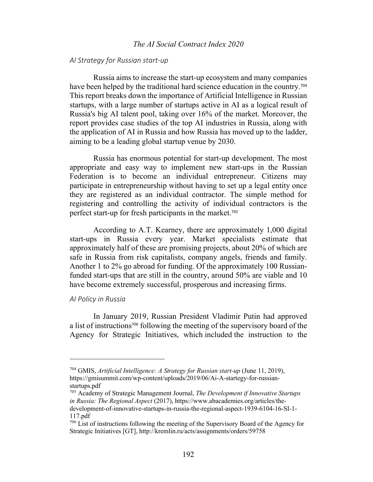## *The AI Social Contract Index 2020*

## *AI Strategy for Russian start-up*

Russia aims to increase the start-up ecosystem and many companies have been helped by the traditional hard science education in the country.<sup>704</sup> This report breaks down the importance of Artificial Intelligence in Russian startups, with a large number of startups active in AI as a logical result of Russia's big AI talent pool, taking over 16% of the market. Moreover, the report provides case studies of the top AI industries in Russia, along with the application of AI in Russia and how Russia has moved up to the ladder, aiming to be a leading global startup venue by 2030.

Russia has enormous potential for start-up development. The most appropriate and easy way to implement new start-ups in the Russian Federation is to become an individual entrepreneur. Citizens may participate in entrepreneurship without having to set up a legal entity once they are registered as an individual contractor. The simple method for registering and controlling the activity of individual contractors is the perfect start-up for fresh participants in the market. 705

According to A.T. Kearney, there are approximately 1,000 digital start-ups in Russia every year. Market specialists estimate that approximately half of these are promising projects, about 20% of which are safe in Russia from risk capitalists, company angels, friends and family. Another 1 to 2% go abroad for funding. Of the approximately 100 Russianfunded start-ups that are still in the country, around 50% are viable and 10 have become extremely successful, prosperous and increasing firms.

### *AI Policy in Russia*

In January 2019, Russian President Vladimir Putin had approved a list of instructions<sup>706</sup> following the meeting of the supervisory board of the Agency for Strategic Initiatives, which included the instruction to the

<sup>704</sup> GMIS, *Artificial Intelligence: A Strategy for Russian start-up* (June 11, 2019), https://gmisummit.com/wp-content/uploads/2019/06/Ai-A-startegy-for-russianstartups.pdf

<sup>705</sup> Academy of Strategic Management Journal, *The Development if Innovative Startups in Russia: The Regional Aspect* (2017), https://www.abacademies.org/articles/thedevelopment-of-innovative-startups-in-russia-the-regional-aspect-1939-6104-16-SI-1- 117.pdf

<sup>706</sup> List of instructions following the meeting of the Supervisory Board of the Agency for Strategic Initiatives [GT], http://kremlin.ru/acts/assignments/orders/59758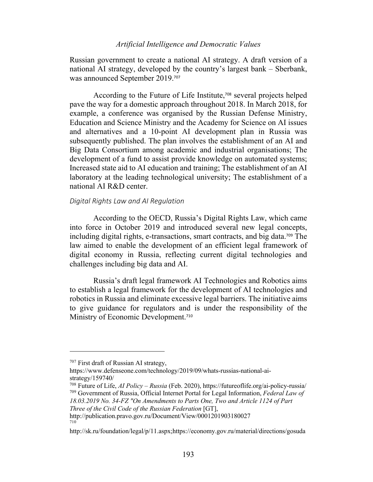Russian government to create a national AI strategy. A draft version of a national AI strategy, developed by the country's largest bank – Sberbank, was announced September 2019. 707

According to the Future of Life Institute, <sup>708</sup> several projects helped pave the way for a domestic approach throughout 2018. In March 2018, for example, a conference was organised by the Russian Defense Ministry, Education and Science Ministry and the Academy for Science on AI issues and alternatives and a 10-point AI development plan in Russia was subsequently published. The plan involves the establishment of an AI and Big Data Consortium among academic and industrial organisations; The development of a fund to assist provide knowledge on automated systems; Increased state aid to AI education and training; The establishment of an AI laboratory at the leading technological university; The establishment of a national AI R&D center.

### *Digital Rights Law and AI Regulation*

According to the OECD, Russia's Digital Rights Law, which came into force in October 2019 and introduced several new legal concepts, including digital rights, e-transactions, smart contracts, and big data.<sup>709</sup> The law aimed to enable the development of an efficient legal framework of digital economy in Russia, reflecting current digital technologies and challenges including big data and AI.

Russia's draft legal framework AI Technologies and Robotics aims to establish a legal framework for the development of AI technologies and robotics in Russia and eliminate excessive legal barriers. The initiative aims to give guidance for regulators and is under the responsibility of the Ministry of Economic Development.<sup>710</sup>

<sup>707</sup> First draft of Russian AI strategy,

https://www.defenseone.com/technology/2019/09/whats-russias-national-aistrategy/159740/

<sup>708</sup> Future of Life, *AI Policy – Russia* (Feb. 2020), https://futureoflife.org/ai-policy-russia/ <sup>709</sup> Government of Russia, Official Internet Portal for Legal Information, *Federal Law of 18.03.2019 No. 34-FZ "On Amendments to Parts One, Two and Article 1124 of Part Three of the Civil Code of the Russian Federation* [GT],

http://publication.pravo.gov.ru/Document/View/0001201903180027 710

http://sk.ru/foundation/legal/p/11.aspx;https://economy.gov.ru/material/directions/gosuda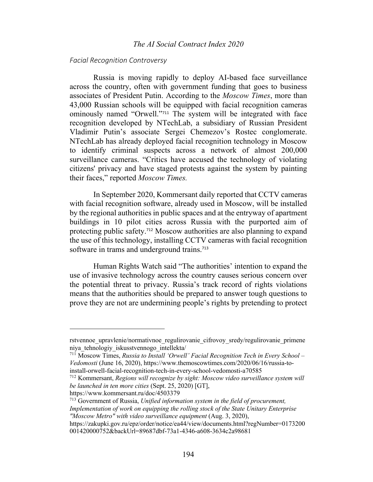## *The AI Social Contract Index 2020*

### *Facial Recognition Controversy*

Russia is moving rapidly to deploy AI-based face surveillance across the country, often with government funding that goes to business associates of President Putin. According to the *Moscow Times*, more than 43,000 Russian schools will be equipped with facial recognition cameras ominously named "Orwell."<sup>711</sup> The system will be integrated with face recognition developed by NTechLab, a subsidiary of Russian President Vladimir Putin's associate Sergei Chemezov's Rostec conglomerate. NTechLab has already deployed facial recognition technology in Moscow to identify criminal suspects across a network of almost 200,000 surveillance cameras. "Critics have accused the technology of violating citizens' privacy and have staged protests against the system by painting their faces," reported *Moscow Times.*

In September 2020, Kommersant daily reported that CCTV cameras with facial recognition software, already used in Moscow, will be installed by the regional authorities in public spaces and at the entryway of apartment buildings in 10 pilot cities across Russia with the purported aim of protecting public safety.<sup>712</sup> Moscow authorities are also planning to expand the use of this technology, installing CCTV cameras with facial recognition software in trams and underground trains.<sup>713</sup>

Human Rights Watch said "The authorities' intention to expand the use of invasive technology across the country causes serious concern over the potential threat to privacy. Russia's track record of rights violations means that the authorities should be prepared to answer tough questions to prove they are not are undermining people's rights by pretending to protect

https://www.kommersant.ru/doc/4503379

rstvennoe upravlenie/normativnoe regulirovanie cifrovoy sredy/regulirovanie primene niya\_tehnologiy\_iskusstvennogo\_intellekta/

<sup>711</sup> Moscow Times, *Russia to Install 'Orwell' Facial Recognition Tech in Every School – Vedomosti* (June 16, 2020), https://www.themoscowtimes.com/2020/06/16/russia-toinstall-orwell-facial-recognition-tech-in-every-school-vedomosti-a70585

<sup>712</sup> Kommersant, *Regions will recognize by sight: Moscow video surveillance system will be launched in ten more cities* (Sept. 25, 2020) [GT],

<sup>713</sup> Government of Russia, *Unified information system in the field of procurement, Implementation of work on equipping the rolling stock of the State Unitary Enterprise "Moscow Metro" with video surveillance equipment* (Aug. 3, 2020),

https://zakupki.gov.ru/epz/order/notice/ea44/view/documents.html?regNumber=0173200 001420000752&backUrl=89687dbf-73a1-4346-a608-3634c2a98681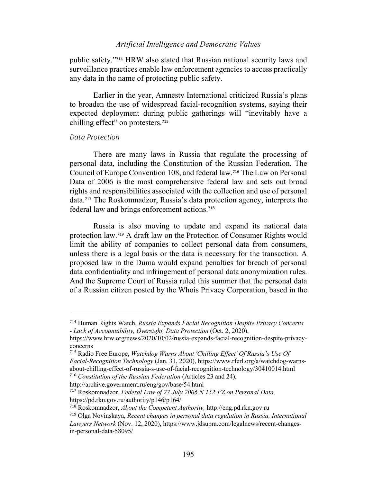public safety."<sup>714</sup> HRW also stated that Russian national security laws and surveillance practices enable law enforcement agencies to access practically any data in the name of protecting public safety.

Earlier in the year, Amnesty International criticized Russia's plans to broaden the use of widespread facial-recognition systems, saying their expected deployment during public gatherings will "inevitably have a chilling effect" on protesters.<sup>715</sup>

### *Data Protection*

There are many laws in Russia that regulate the processing of personal data, including the Constitution of the Russian Federation, The Council of Europe Convention 108, and federal law.<sup>716</sup> The Law on Personal Data of 2006 is the most comprehensive federal law and sets out broad rights and responsibilities associated with the collection and use of personal data.<sup>717</sup> The Roskomnadzor, Russia's data protection agency, interprets the federal law and brings enforcement actions.<sup>718</sup>

Russia is also moving to update and expand its national data protection law.<sup>719</sup> A draft law on the Protection of Consumer Rights would limit the ability of companies to collect personal data from consumers, unless there is a legal basis or the data is necessary for the transaction. A proposed law in the Duma would expand penalties for breach of personal data confidentiality and infringement of personal data anonymization rules. And the Supreme Court of Russia ruled this summer that the personal data of a Russian citizen posted by the Whois Privacy Corporation, based in the

<sup>714</sup> Human Rights Watch, *Russia Expands Facial Recognition Despite Privacy Concerns - Lack of Accountability, Oversight, Data Protection* (Oct. 2, 2020),

https://www.hrw.org/news/2020/10/02/russia-expands-facial-recognition-despite-privacyconcerns

<sup>715</sup> Radio Free Europe, *Watchdog Warns About 'Chilling Effect' Of Russia's Use Of Facial-Recognition Technology* (Jan. 31, 2020), https://www.rferl.org/a/watchdog-warnsabout-chilling-effect-of-russia-s-use-of-facial-recognition-technology/30410014.html <sup>716</sup> *Constitution of the Russian Federation* (Articles 23 and 24),

http://archive.government.ru/eng/gov/base/54.html

<sup>717</sup> Roskomnadzor, *Federal Law of 27 July 2006 N 152-FZ on Personal Data,* https://pd.rkn.gov.ru/authority/p146/p164/

<sup>718</sup> Roskomnadzor, *About the Competent Authority,* http://eng.pd.rkn.gov.ru

<sup>719</sup> Olga Novinskaya, *Recent changes in personal data regulation in Russia, International Lawyers Network* (Nov. 12, 2020), https://www.jdsupra.com/legalnews/recent-changesin-personal-data-58095/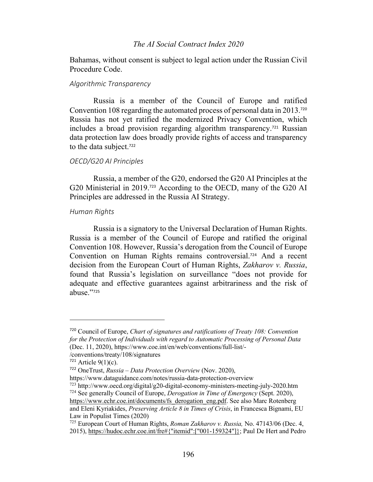## *The AI Social Contract Index 2020*

Bahamas, without consent is subject to legal action under the Russian Civil Procedure Code.

#### *Algorithmic Transparency*

Russia is a member of the Council of Europe and ratified Convention 108 regarding the automated process of personal data in 2013.<sup>720</sup> Russia has not yet ratified the modernized Privacy Convention, which includes a broad provision regarding algorithm transparency.<sup>721</sup> Russian data protection law does broadly provide rights of access and transparency to the data subject.<sup>722</sup>

## *OECD/G20 AI Principles*

Russia, a member of the G20, endorsed the G20 AI Principles at the G20 Ministerial in 2019.<sup>723</sup> According to the OECD, many of the G20 AI Principles are addressed in the Russia AI Strategy.

## *Human Rights*

Russia is a signatory to the Universal Declaration of Human Rights. Russia is a member of the Council of Europe and ratified the original Convention 108. However, Russia's derogation from the Council of Europe Convention on Human Rights remains controversial.<sup>724</sup> And a recent decision from the European Court of Human Rights, *Zakharov v. Russia*, found that Russia's legislation on surveillance "does not provide for adequate and effective guarantees against arbitrariness and the risk of abuse."<sup>725</sup>

<sup>723</sup> http://www.oecd.org/digital/g20-digital-economy-ministers-meeting-july-2020.htm <sup>724</sup> See generally Council of Europe, *Derogation in Time of Emergency* (Sept. 2020),

<sup>720</sup> Council of Europe, *Chart of signatures and ratifications of Treaty 108: Convention for the Protection of Individuals with regard to Automatic Processing of Personal Data* (Dec. 11, 2020), https://www.coe.int/en/web/conventions/full-list/-

<sup>/</sup>conventions/treaty/108/signatures

 $721$  Article 9(1)(c).

<sup>722</sup> OneTrust, *Russia – Data Protection Overview* (Nov. 2020),

https://www.dataguidance.com/notes/russia-data-protection-overview

https://www.echr.coe.int/documents/fs\_derogation\_eng.pdf. See also Marc Rotenberg and Eleni Kyriakides, *Preserving Article 8 in Times of Crisis*, in Francesca Bignami, EU Law in Populist Times (2020)

<sup>725</sup> European Court of Human Rights, *Roman Zakharov v. Russia,* No. 47143/06 (Dec. 4, 2015), https://hudoc.echr.coe.int/fre#{"itemid":["001-159324"]}; Paul De Hert and Pedro